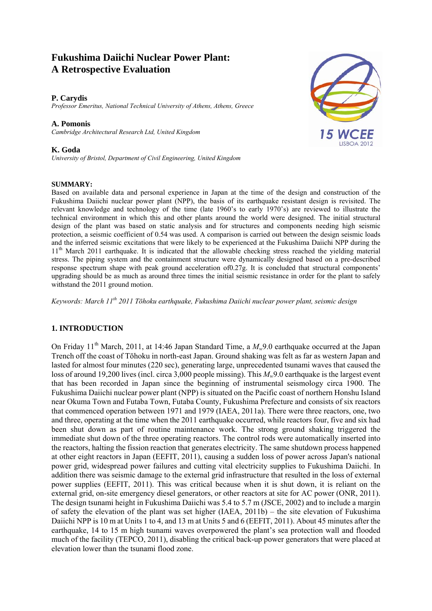# **Fukushima Daiichi Nuclear Power Plant: A Retrospective Evaluation**

### **P. Carydis**

*Professor Emeritus, National Technical University of Athens, Athens, Greece* 

#### **A. Pomonis**

*Cambridge Architectural Research Ltd, United Kingdom*

#### **K. Goda**

*University of Bristol, Department of Civil Engineering, United Kingdom* 

#### **SUMMARY:**

Based on available data and personal experience in Japan at the time of the design and construction of the Fukushima Daiichi nuclear power plant (NPP), the basis of its earthquake resistant design is revisited. The relevant knowledge and technology of the time (late 1960's to early 1970's) are reviewed to illustrate the technical environment in which this and other plants around the world were designed. The initial structural design of the plant was based on static analysis and for structures and components needing high seismic protection, a seismic coefficient of 0.54 was used. A comparison is carried out between the design seismic loads and the inferred seismic excitations that were likely to be experienced at the Fukushima Daiichi NPP during the 11th March 2011 earthquake. It is indicated that the allowable checking stress reached the yielding material stress. The piping system and the containment structure were dynamically designed based on a pre-described response spectrum shape with peak ground acceleration of0.27g. It is concluded that structural components' upgrading should be as much as around three times the initial seismic resistance in order for the plant to safely withstand the 2011 ground motion.

*Keywords: March 11th 2011 Tōhoku earthquake, Fukushima Daiichi nuclear power plant, seismic design* 

# **1. INTRODUCTION**

On Friday 11<sup>th</sup> March, 2011, at 14:46 Japan Standard Time, a  $M_{w}9.0$  earthquake occurred at the Japan Trench off the coast of Tōhoku in north-east Japan. Ground shaking was felt as far as western Japan and lasted for almost four minutes (220 sec), generating large, unprecedented tsunami waves that caused the loss of around 19,200 lives (incl. circa 3,000 people missing). This *Mw*9.0 earthquake is the largest event that has been recorded in Japan since the beginning of instrumental seismology circa 1900. The Fukushima Daiichi nuclear power plant (NPP) is situated on the Pacific coast of northern Honshu Island near Okuma Town and Futaba Town, Futaba County, Fukushima Prefecture and consists of six reactors that commenced operation between 1971 and 1979 (IAEA, 2011a). There were three reactors, one, two and three, operating at the time when the 2011 earthquake occurred, while reactors four, five and six had been shut down as part of routine maintenance work. The strong ground shaking triggered the immediate shut down of the three operating reactors. The control rods were automatically inserted into the reactors, halting the fission reaction that generates electricity. The same shutdown process happened at other eight reactors in Japan (EEFIT, 2011), causing a sudden loss of power across Japan's national power grid, widespread power failures and cutting vital electricity supplies to Fukushima Daiichi. In addition there was seismic damage to the external grid infrastructure that resulted in the loss of external power supplies (EEFIT, 2011). This was critical because when it is shut down, it is reliant on the external grid, on-site emergency diesel generators, or other reactors at site for AC power (ONR, 2011). The design tsunami height in Fukushima Daiichi was 5.4 to 5.7 m (JSCE, 2002) and to include a margin of safety the elevation of the plant was set higher (IAEA, 2011b) – the site elevation of Fukushima Daiichi NPP is 10 m at Units 1 to 4, and 13 m at Units 5 and 6 (EEFIT, 2011). About 45 minutes after the earthquake, 14 to 15 m high tsunami waves overpowered the plant's sea protection wall and flooded much of the facility (TEPCO, 2011), disabling the critical back-up power generators that were placed at elevation lower than the tsunami flood zone.

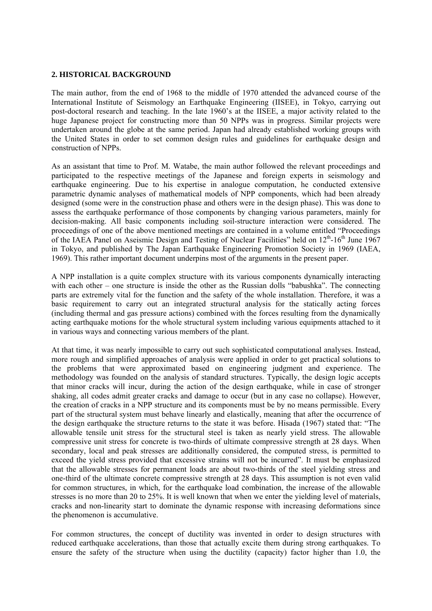### **2. HISTORICAL BACKGROUND**

The main author, from the end of 1968 to the middle of 1970 attended the advanced course of the International Institute of Seismology an Earthquake Engineering (IISEE), in Tokyo, carrying out post-doctoral research and teaching. In the late 1960's at the IISEE, a major activity related to the huge Japanese project for constructing more than 50 NPPs was in progress. Similar projects were undertaken around the globe at the same period. Japan had already established working groups with the United States in order to set common design rules and guidelines for earthquake design and construction of NPPs.

As an assistant that time to Prof. M. Watabe, the main author followed the relevant proceedings and participated to the respective meetings of the Japanese and foreign experts in seismology and earthquake engineering. Due to his expertise in analogue computation, he conducted extensive parametric dynamic analyses of mathematical models of NPP components, which had been already designed (some were in the construction phase and others were in the design phase). This was done to assess the earthquake performance of those components by changing various parameters, mainly for decision-making. All basic components including soil-structure interaction were considered. The proceedings of one of the above mentioned meetings are contained in a volume entitled "Proceedings of the IAEA Panel on Aseismic Design and Testing of Nuclear Facilities" held on  $12<sup>th</sup>$ -16<sup>th</sup> June 1967 in Tokyo, and published by The Japan Earthquake Engineering Promotion Society in 1969 (IAEA, 1969). This rather important document underpins most of the arguments in the present paper.

A NPP installation is a quite complex structure with its various components dynamically interacting with each other – one structure is inside the other as the Russian dolls "babushka". The connecting parts are extremely vital for the function and the safety of the whole installation. Therefore, it was a basic requirement to carry out an integrated structural analysis for the statically acting forces (including thermal and gas pressure actions) combined with the forces resulting from the dynamically acting earthquake motions for the whole structural system including various equipments attached to it in various ways and connecting various members of the plant.

At that time, it was nearly impossible to carry out such sophisticated computational analyses. Instead, more rough and simplified approaches of analysis were applied in order to get practical solutions to the problems that were approximated based on engineering judgment and experience. The methodology was founded on the analysis of standard structures. Typically, the design logic accepts that minor cracks will incur, during the action of the design earthquake, while in case of stronger shaking, all codes admit greater cracks and damage to occur (but in any case no collapse). However, the creation of cracks in a NPP structure and its components must be by no means permissible. Every part of the structural system must behave linearly and elastically, meaning that after the occurrence of the design earthquake the structure returns to the state it was before. Hisada (1967) stated that: "The allowable tensile unit stress for the structural steel is taken as nearly yield stress. The allowable compressive unit stress for concrete is two-thirds of ultimate compressive strength at 28 days. When secondary, local and peak stresses are additionally considered, the computed stress, is permitted to exceed the yield stress provided that excessive strains will not be incurred". It must be emphasized that the allowable stresses for permanent loads are about two-thirds of the steel yielding stress and one-third of the ultimate concrete compressive strength at 28 days. This assumption is not even valid for common structures, in which, for the earthquake load combination, the increase of the allowable stresses is no more than 20 to 25%. It is well known that when we enter the yielding level of materials, cracks and non-linearity start to dominate the dynamic response with increasing deformations since the phenomenon is accumulative.

For common structures, the concept of ductility was invented in order to design structures with reduced earthquake accelerations, than those that actually excite them during strong earthquakes. To ensure the safety of the structure when using the ductility (capacity) factor higher than 1.0, the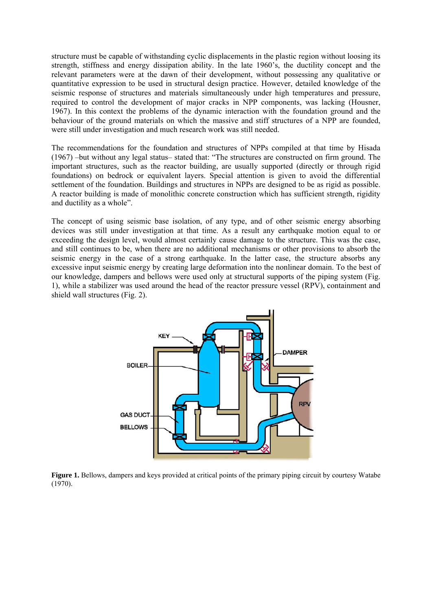structure must be capable of withstanding cyclic displacements in the plastic region without loosing its strength, stiffness and energy dissipation ability. In the late 1960's, the ductility concept and the relevant parameters were at the dawn of their development, without possessing any qualitative or quantitative expression to be used in structural design practice. However, detailed knowledge of the seismic response of structures and materials simultaneously under high temperatures and pressure, required to control the development of major cracks in NPP components, was lacking (Housner, 1967). In this context the problems of the dynamic interaction with the foundation ground and the behaviour of the ground materials on which the massive and stiff structures of a NPP are founded, were still under investigation and much research work was still needed.

The recommendations for the foundation and structures of NPPs compiled at that time by Hisada (1967) –but without any legal status– stated that: "The structures are constructed on firm ground. The important structures, such as the reactor building, are usually supported (directly or through rigid foundations) on bedrock or equivalent layers. Special attention is given to avoid the differential settlement of the foundation. Buildings and structures in NPPs are designed to be as rigid as possible. A reactor building is made of monolithic concrete construction which has sufficient strength, rigidity and ductility as a whole".

The concept of using seismic base isolation, of any type, and of other seismic energy absorbing devices was still under investigation at that time. As a result any earthquake motion equal to or exceeding the design level, would almost certainly cause damage to the structure. This was the case, and still continues to be, when there are no additional mechanisms or other provisions to absorb the seismic energy in the case of a strong earthquake. In the latter case, the structure absorbs any excessive input seismic energy by creating large deformation into the nonlinear domain. To the best of our knowledge, dampers and bellows were used only at structural supports of the piping system (Fig. 1), while a stabilizer was used around the head of the reactor pressure vessel (RPV), containment and shield wall structures (Fig. 2).



Figure 1. Bellows, dampers and keys provided at critical points of the primary piping circuit by courtesy Watabe  $(1970)$ .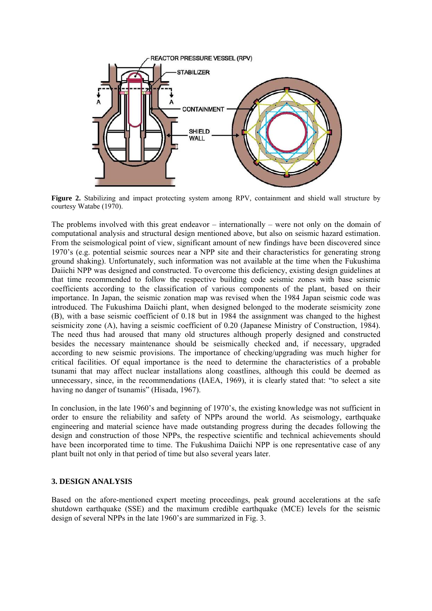

**Figure 2.** Stabilizing and impact protecting system among RPV, containment and shield wall structure by courtesy Watabe (1970).

The problems involved with this great endeavor – internationally – were not only on the domain of computational analysis and structural design mentioned above, but also on seismic hazard estimation. From the seismological point of view, significant amount of new findings have been discovered since 1970's (e.g. potential seismic sources near a NPP site and their characteristics for generating strong ground shaking). Unfortunately, such information was not available at the time when the Fukushima Daiichi NPP was designed and constructed. To overcome this deficiency, existing design guidelines at that time recommended to follow the respective building code seismic zones with base seismic coefficients according to the classification of various components of the plant, based on their importance. In Japan, the seismic zonation map was revised when the 1984 Japan seismic code was introduced. The Fukushima Daiichi plant, when designed belonged to the moderate seismicity zone (B), with a base seismic coefficient of 0.18 but in 1984 the assignment was changed to the highest seismicity zone (A), having a seismic coefficient of 0.20 (Japanese Ministry of Construction, 1984). The need thus had aroused that many old structures although properly designed and constructed besides the necessary maintenance should be seismically checked and, if necessary, upgraded according to new seismic provisions. The importance of checking/upgrading was much higher for critical facilities. Of equal importance is the need to determine the characteristics of a probable tsunami that may affect nuclear installations along coastlines, although this could be deemed as unnecessary, since, in the recommendations (IAEA, 1969), it is clearly stated that: "to select a site having no danger of tsunamis" (Hisada, 1967).

In conclusion, in the late 1960's and beginning of 1970's, the existing knowledge was not sufficient in order to ensure the reliability and safety of NPPs around the world. As seismology, earthquake engineering and material science have made outstanding progress during the decades following the design and construction of those NPPs, the respective scientific and technical achievements should have been incorporated time to time. The Fukushima Daiichi NPP is one representative case of any plant built not only in that period of time but also several years later.

## **3. DESIGN ANALYSIS**

Based on the afore-mentioned expert meeting proceedings, peak ground accelerations at the safe shutdown earthquake (SSE) and the maximum credible earthquake (MCE) levels for the seismic design of several NPPs in the late 1960's are summarized in Fig. 3.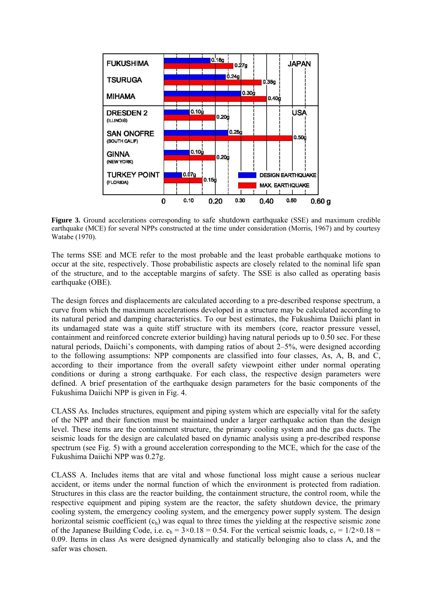

**Figure 3.** Ground accelerations corresponding to safe shutdown earthquake (SSE) and maximum credible earthquake (MCE) for several NPPs constructed at the time under consideration (Morris, 1967) and by courtesy Watabe (1970).

The terms SSE and MCE refer to the most probable and the least probable earthquake motions to occur at the site, respectively. Those probabilistic aspects are closely related to the nominal life span of the structure, and to the acceptable margins of safety. The SSE is also called as operating basis earthquake (OBE).

The design forces and displacements are calculated according to a pre-described response spectrum, a curve from which the maximum accelerations developed in a structure may be calculated according to its natural period and damping characteristics. To our best estimates, the Fukushima Daiichi plant in its undamaged state was a quite stiff structure with its members (core, reactor pressure vessel, containment and reinforced concrete exterior building) having natural periods up to 0.50 sec. For these natural periods, Daiichi's components, with damping ratios of about 2–5%, were designed according to the following assumptions: NPP components are classified into four classes, As, A, B, and C, according to their importance from the overall safety viewpoint either under normal operating conditions or during a strong earthquake. For each class, the respective design parameters were defined. A brief presentation of the earthquake design parameters for the basic components of the Fukushima Daiichi NPP is given in Fig. 4.

CLASS As. Includes structures, equipment and piping system which are especially vital for the safety of the NPP and their function must be maintained under a larger earthquake action than the design level. These items are the containment structure, the primary cooling system and the gas ducts. The seismic loads for the design are calculated based on dynamic analysis using a pre-described response spectrum (see Fig. 5) with a ground acceleration corresponding to the MCE, which for the case of the Fukushima Daiichi NPP was 0.27g.

CLASS A. Includes items that are vital and whose functional loss might cause a serious nuclear accident, or items under the normal function of which the environment is protected from radiation. Structures in this class are the reactor building, the containment structure, the control room, while the respective equipment and piping system are the reactor, the safety shutdown device, the primary cooling system, the emergency cooling system, and the emergency power supply system. The design horizontal seismic coefficient  $(c<sub>h</sub>)$  was equal to three times the yielding at the respective seismic zone of the Japanese Building Code, i.e.  $c_h = 3 \times 0.18 = 0.54$ . For the vertical seismic loads,  $c_v = 1/2 \times 0.18 =$ 0.09. Items in class As were designed dynamically and statically belonging also to class A, and the safer was chosen.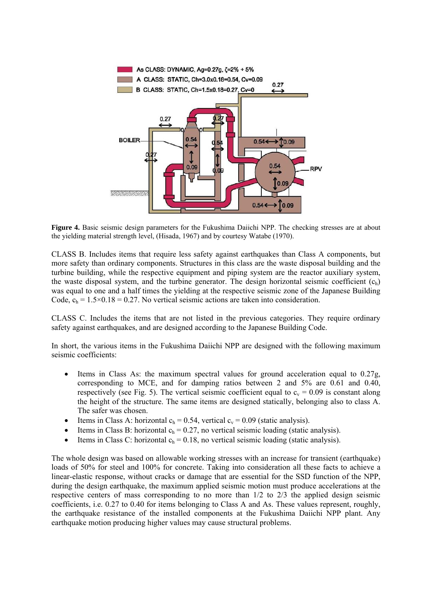

**Figure 4.** Basic seismic design parameters for the Fukushima Daiichi NPP. The checking stresses are at about the yielding material strength level, (Hisada, 1967) and by courtesy Watabe (1970).

CLASS B. Includes items that require less safety against earthquakes than Class A components, but more safety than ordinary components. Structures in this class are the waste disposal building and the turbine building, while the respective equipment and piping system are the reactor auxiliary system, the waste disposal system, and the turbine generator. The design horizontal seismic coefficient  $(c<sub>h</sub>)$ was equal to one and a half times the yielding at the respective seismic zone of the Japanese Building Code,  $c_h = 1.5 \times 0.18 = 0.27$ . No vertical seismic actions are taken into consideration.

CLASS C. Includes the items that are not listed in the previous categories. They require ordinary safety against earthquakes, and are designed according to the Japanese Building Code.

In short, the various items in the Fukushima Daiichi NPP are designed with the following maximum seismic coefficients:

- Items in Class As: the maximum spectral values for ground acceleration equal to 0.27g, corresponding to MCE, and for damping ratios between 2 and 5% are 0.61 and 0.40, respectively (see Fig. 5). The vertical seismic coefficient equal to  $c_v = 0.09$  is constant along the height of the structure. The same items are designed statically, belonging also to class A. The safer was chosen.
- Items in Class A: horizontal  $c_h = 0.54$ , vertical  $c_v = 0.09$  (static analysis).
- Items in Class B: horizontal  $c_h = 0.27$ , no vertical seismic loading (static analysis).
- Items in Class C: horizontal  $c_h = 0.18$ , no vertical seismic loading (static analysis).

The whole design was based on allowable working stresses with an increase for transient (earthquake) loads of 50% for steel and 100% for concrete. Taking into consideration all these facts to achieve a linear-elastic response, without cracks or damage that are essential for the SSD function of the NPP, during the design earthquake, the maximum applied seismic motion must produce accelerations at the respective centers of mass corresponding to no more than 1/2 to 2/3 the applied design seismic coefficients, i.e. 0.27 to 0.40 for items belonging to Class A and As. These values represent, roughly, the earthquake resistance of the installed components at the Fukushima Daiichi NPP plant. Any earthquake motion producing higher values may cause structural problems.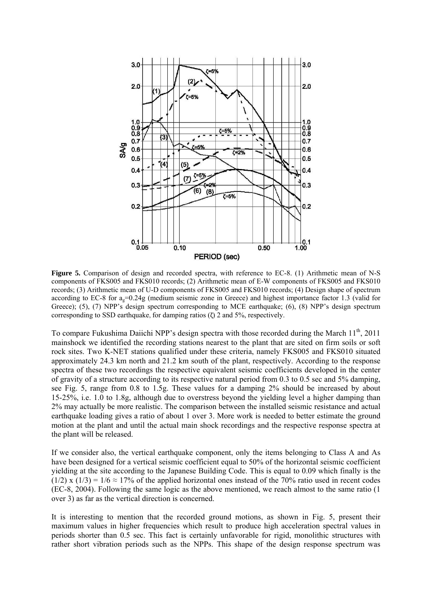

Figure 5. Comparison of design and recorded spectra, with reference to EC-8. (1) Arithmetic mean of N-S components of FKS005 and FKS010 records; (2) Arithmetic mean of E-W components of FKS005 and FKS010 records; (3) Arithmetic mean of U-D components of FKS005 and FKS010 records; (4) Design shape of spectrum according to EC-8 for  $a_0=0.24g$  (medium seismic zone in Greece) and highest importance factor 1.3 (valid for Greece); (5), (7) NPP's design spectrum corresponding to MCE earthquake; (6), (8) NPP's design spectrum corresponding to SSD earthquake, for damping ratios  $(7)$  2 and 5%, respectively.

To compare Fukushima Daiichi NPP's design spectra with those recorded during the March 11<sup>th</sup>, 2011 mainshock we identified the recording stations nearest to the plant that are sited on firm soils or soft rock sites. Two K-NET stations qualified under these criteria, namely FKS005 and FKS010 situated approximately 24.3 km north and 21.2 km south of the plant, respectively. According to the response spectra of these two recordings the respective equivalent seismic coefficients developed in the center of gravity of a structure according to its respective natural period from 0.3 to 0.5 sec and 5% damping, see Fig. 5, range from 0.8 to 1.5g. These values for a damping 2% should be increased by about 15-25%, i.e. 1.0 to 1.8g, although due to overstress beyond the yielding level a higher damping than 2% may actually be more realistic. The comparison between the installed seismic resistance and actual earthquake loading gives a ratio of about 1 over 3. More work is needed to better estimate the ground motion at the plant and until the actual main shock recordings and the respective response spectra at the plant will be released.

If we consider also, the vertical earthquake component, only the items belonging to Class A and As have been designed for a vertical seismic coefficient equal to 50% of the horizontal seismic coefficient yielding at the site according to the Japanese Building Code. This is equal to 0.09 which finally is the (1/2) x (1/3) =  $1/6 \approx 17\%$  of the applied horizontal ones instead of the 70% ratio used in recent codes (EC-8, 2004). Following the same logic as the above mentioned, we reach almost to the same ratio (1 over 3) as far as the vertical direction is concerned.

It is interesting to mention that the recorded ground motions, as shown in Fig. 5, present their maximum values in higher frequencies which result to produce high acceleration spectral values in periods shorter than 0.5 sec. This fact is certainly unfavorable for rigid, monolithic structures with rather short vibration periods such as the NPPs. This shape of the design response spectrum was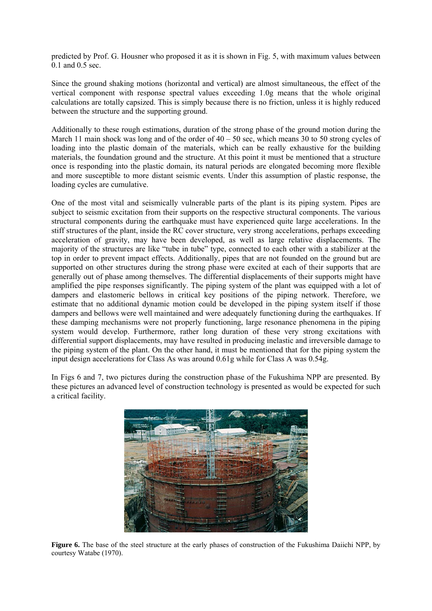predicted by Prof. G. Housner who proposed it as it is shown in Fig. 5, with maximum values between 0.1 and 0.5 sec.

Since the ground shaking motions (horizontal and vertical) are almost simultaneous, the effect of the vertical component with response spectral values exceeding 1.0g means that the whole original calculations are totally capsized. This is simply because there is no friction, unless it is highly reduced between the structure and the supporting ground.

Additionally to these rough estimations, duration of the strong phase of the ground motion during the March 11 main shock was long and of the order of  $40 - 50$  sec, which means 30 to 50 strong cycles of loading into the plastic domain of the materials, which can be really exhaustive for the building materials, the foundation ground and the structure. At this point it must be mentioned that a structure once is responding into the plastic domain, its natural periods are elongated becoming more flexible and more susceptible to more distant seismic events. Under this assumption of plastic response, the loading cycles are cumulative.

One of the most vital and seismically vulnerable parts of the plant is its piping system. Pipes are subject to seismic excitation from their supports on the respective structural components. The various structural components during the earthquake must have experienced quite large accelerations. In the stiff structures of the plant, inside the RC cover structure, very strong accelerations, perhaps exceeding acceleration of gravity, may have been developed, as well as large relative displacements. The majority of the structures are like "tube in tube" type, connected to each other with a stabilizer at the top in order to prevent impact effects. Additionally, pipes that are not founded on the ground but are supported on other structures during the strong phase were excited at each of their supports that are generally out of phase among themselves. The differential displacements of their supports might have amplified the pipe responses significantly. The piping system of the plant was equipped with a lot of dampers and elastomeric bellows in critical key positions of the piping network. Therefore, we estimate that no additional dynamic motion could be developed in the piping system itself if those dampers and bellows were well maintained and were adequately functioning during the earthquakes. If these damping mechanisms were not properly functioning, large resonance phenomena in the piping system would develop. Furthermore, rather long duration of these very strong excitations with differential support displacements, may have resulted in producing inelastic and irreversible damage to the piping system of the plant. On the other hand, it must be mentioned that for the piping system the input design accelerations for Class As was around 0.61g while for Class A was 0.54g.

In Figs 6 and 7, two pictures during the construction phase of the Fukushima NPP are presented. By these pictures an advanced level of construction technology is presented as would be expected for such a critical facility.



**Figure 6.** The base of the steel structure at the early phases of construction of the Fukushima Daiichi NPP, by courtesy Watabe (1970).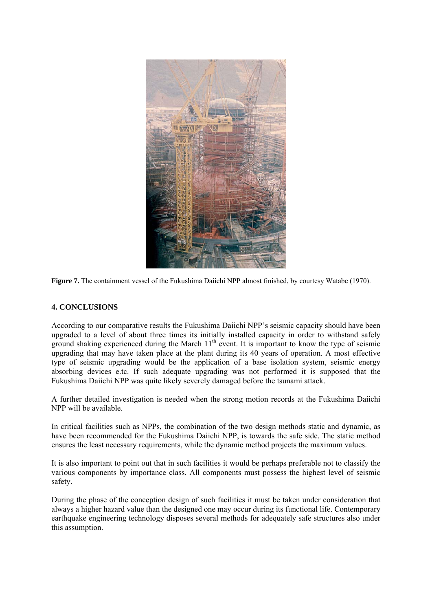

**Figure 7.** The containment vessel of the Fukushima Daiichi NPP almost finished, by courtesy Watabe (1970).

## **4. CONCLUSIONS**

According to our comparative results the Fukushima Daiichi NPP's seismic capacity should have been upgraded to a level of about three times its initially installed capacity in order to withstand safely ground shaking experienced during the March  $11<sup>th</sup>$  event. It is important to know the type of seismic upgrading that may have taken place at the plant during its 40 years of operation. A most effective type of seismic upgrading would be the application of a base isolation system, seismic energy absorbing devices e.tc. If such adequate upgrading was not performed it is supposed that the Fukushima Daiichi NPP was quite likely severely damaged before the tsunami attack.

A further detailed investigation is needed when the strong motion records at the Fukushima Daiichi NPP will be available.

In critical facilities such as NPPs, the combination of the two design methods static and dynamic, as have been recommended for the Fukushima Daiichi NPP, is towards the safe side. The static method ensures the least necessary requirements, while the dynamic method projects the maximum values.

It is also important to point out that in such facilities it would be perhaps preferable not to classify the various components by importance class. All components must possess the highest level of seismic safety.

During the phase of the conception design of such facilities it must be taken under consideration that always a higher hazard value than the designed one may occur during its functional life. Contemporary earthquake engineering technology disposes several methods for adequately safe structures also under this assumption.